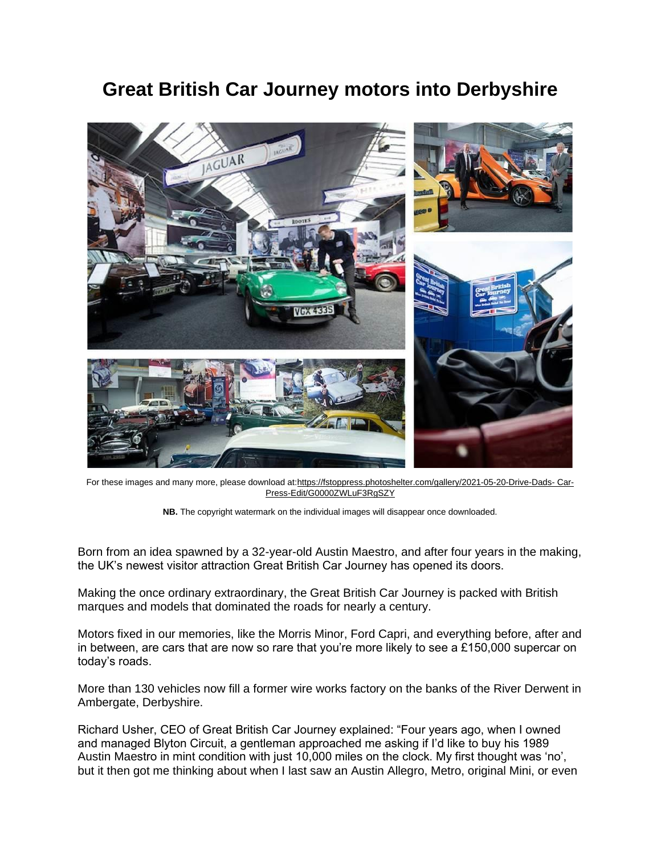## **Great British Car Journey motors into Derbyshire**



For these images and many more, please download at[:https://fstoppress.photoshelter.com/gallery/2021-05-20-Drive-Dads-](https://fstoppress.photoshelter.com/gallery/2021-05-20-Drive-Dads-%20Car-Press-Edit/G0000ZWLuF3RgSZY) Car-[Press-Edit/G0000ZWLuF3RgSZY](https://fstoppress.photoshelter.com/gallery/2021-05-20-Drive-Dads-%20Car-Press-Edit/G0000ZWLuF3RgSZY)



Born from an idea spawned by a 32-year-old Austin Maestro, and after four years in the making, the UK's newest visitor attraction Great British Car Journey has opened its doors.

Making the once ordinary extraordinary, the Great British Car Journey is packed with British marques and models that dominated the roads for nearly a century.

Motors fixed in our memories, like the Morris Minor, Ford Capri, and everything before, after and in between, are cars that are now so rare that you're more likely to see a £150,000 supercar on today's roads.

More than 130 vehicles now fill a former wire works factory on the banks of the River Derwent in Ambergate, Derbyshire.

Richard Usher, CEO of Great British Car Journey explained: "Four years ago, when I owned and managed Blyton Circuit, a gentleman approached me asking if I'd like to buy his 1989 Austin Maestro in mint condition with just 10,000 miles on the clock. My first thought was 'no', but it then got me thinking about when I last saw an Austin Allegro, Metro, original Mini, or even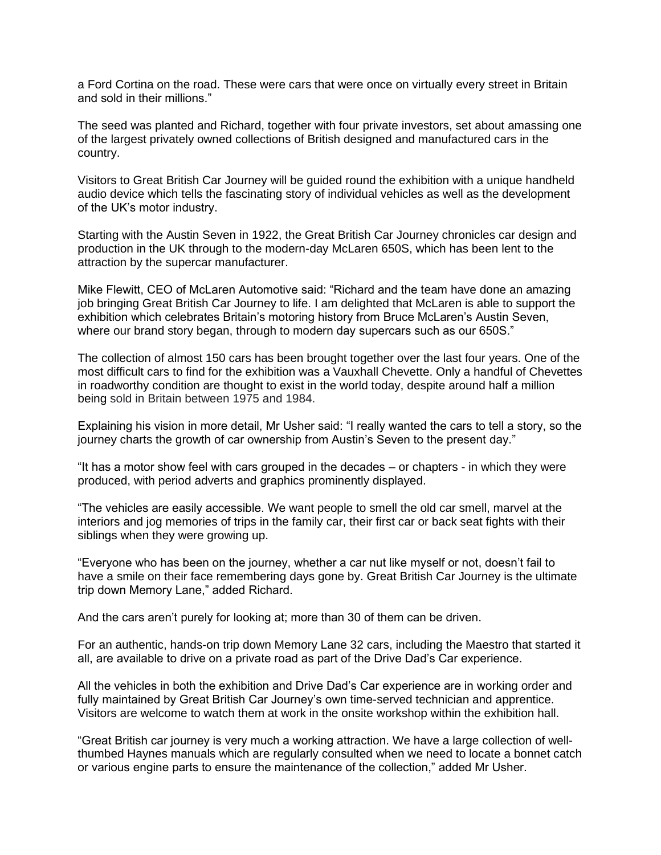a Ford Cortina on the road. These were cars that were once on virtually every street in Britain and sold in their millions."

The seed was planted and Richard, together with four private investors, set about amassing one of the largest privately owned collections of British designed and manufactured cars in the country.

Visitors to Great British Car Journey will be guided round the exhibition with a unique handheld audio device which tells the fascinating story of individual vehicles as well as the development of the UK's motor industry.

Starting with the Austin Seven in 1922, the Great British Car Journey chronicles car design and production in the UK through to the modern-day McLaren 650S, which has been lent to the attraction by the supercar manufacturer.

Mike Flewitt, CEO of McLaren Automotive said: "Richard and the team have done an amazing job bringing Great British Car Journey to life. I am delighted that McLaren is able to support the exhibition which celebrates Britain's motoring history from Bruce McLaren's Austin Seven, where our brand story began, through to modern day supercars such as our 650S."

The collection of almost 150 cars has been brought together over the last four years. One of the most difficult cars to find for the exhibition was a Vauxhall Chevette. Only a handful of Chevettes in roadworthy condition are thought to exist in the world today, despite around half a million being sold in Britain between 1975 and 1984.

Explaining his vision in more detail, Mr Usher said: "I really wanted the cars to tell a story, so the journey charts the growth of car ownership from Austin's Seven to the present day."

"It has a motor show feel with cars grouped in the decades – or chapters - in which they were produced, with period adverts and graphics prominently displayed.

"The vehicles are easily accessible. We want people to smell the old car smell, marvel at the interiors and jog memories of trips in the family car, their first car or back seat fights with their siblings when they were growing up.

"Everyone who has been on the journey, whether a car nut like myself or not, doesn't fail to have a smile on their face remembering days gone by. Great British Car Journey is the ultimate trip down Memory Lane," added Richard.

And the cars aren't purely for looking at; more than 30 of them can be driven.

For an authentic, hands-on trip down Memory Lane 32 cars, including the Maestro that started it all, are available to drive on a private road as part of the Drive Dad's Car experience.

All the vehicles in both the exhibition and Drive Dad's Car experience are in working order and fully maintained by Great British Car Journey's own time-served technician and apprentice. Visitors are welcome to watch them at work in the onsite workshop within the exhibition hall.

"Great British car journey is very much a working attraction. We have a large collection of wellthumbed Haynes manuals which are regularly consulted when we need to locate a bonnet catch or various engine parts to ensure the maintenance of the collection," added Mr Usher.